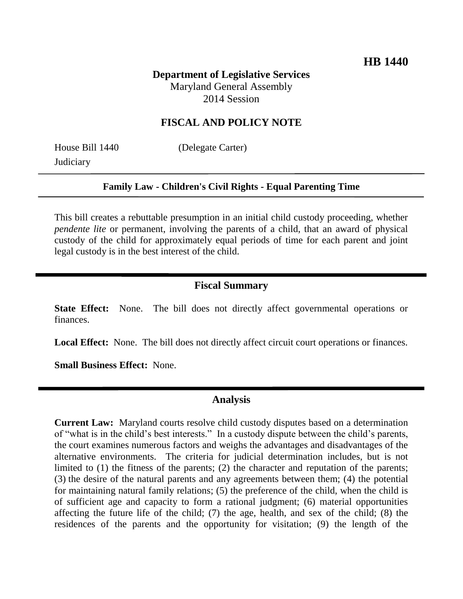# **Department of Legislative Services** Maryland General Assembly 2014 Session

### **FISCAL AND POLICY NOTE**

**Judiciary** 

House Bill 1440 (Delegate Carter)

#### **Family Law - Children's Civil Rights - Equal Parenting Time**

This bill creates a rebuttable presumption in an initial child custody proceeding, whether *pendente lite* or permanent, involving the parents of a child, that an award of physical custody of the child for approximately equal periods of time for each parent and joint legal custody is in the best interest of the child.

#### **Fiscal Summary**

**State Effect:** None. The bill does not directly affect governmental operations or finances.

Local Effect: None. The bill does not directly affect circuit court operations or finances.

**Small Business Effect:** None.

#### **Analysis**

**Current Law:** Maryland courts resolve child custody disputes based on a determination of "what is in the child's best interests." In a custody dispute between the child's parents, the court examines numerous factors and weighs the advantages and disadvantages of the alternative environments. The criteria for judicial determination includes, but is not limited to (1) the fitness of the parents; (2) the character and reputation of the parents; (3) the desire of the natural parents and any agreements between them; (4) the potential for maintaining natural family relations; (5) the preference of the child, when the child is of sufficient age and capacity to form a rational judgment; (6) material opportunities affecting the future life of the child; (7) the age, health, and sex of the child; (8) the residences of the parents and the opportunity for visitation; (9) the length of the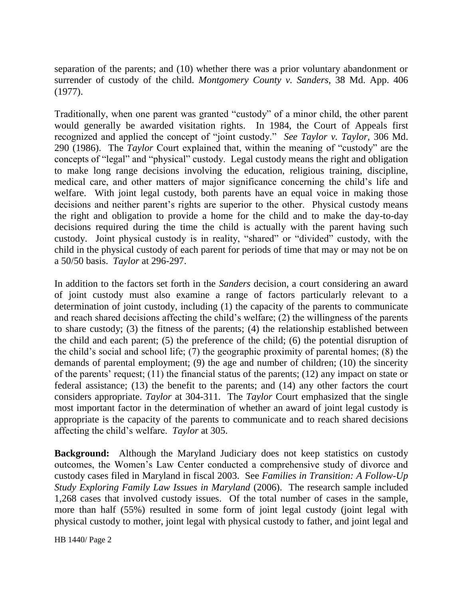separation of the parents; and (10) whether there was a prior voluntary abandonment or surrender of custody of the child. *Montgomery County v. Sanders*, 38 Md. App. 406 (1977).

Traditionally, when one parent was granted "custody" of a minor child, the other parent would generally be awarded visitation rights. In 1984, the Court of Appeals first recognized and applied the concept of "joint custody." *See Taylor v. Taylor,* 306 Md. 290 (1986). The *Taylor* Court explained that, within the meaning of "custody" are the concepts of "legal" and "physical" custody. Legal custody means the right and obligation to make long range decisions involving the education, religious training, discipline, medical care, and other matters of major significance concerning the child's life and welfare. With joint legal custody, both parents have an equal voice in making those decisions and neither parent's rights are superior to the other. Physical custody means the right and obligation to provide a home for the child and to make the day-to-day decisions required during the time the child is actually with the parent having such custody. Joint physical custody is in reality, "shared" or "divided" custody, with the child in the physical custody of each parent for periods of time that may or may not be on a 50/50 basis. *Taylor* at 296-297.

In addition to the factors set forth in the *Sanders* decision, a court considering an award of joint custody must also examine a range of factors particularly relevant to a determination of joint custody, including (1) the capacity of the parents to communicate and reach shared decisions affecting the child's welfare; (2) the willingness of the parents to share custody; (3) the fitness of the parents; (4) the relationship established between the child and each parent; (5) the preference of the child; (6) the potential disruption of the child's social and school life;  $(7)$  the geographic proximity of parental homes;  $(8)$  the demands of parental employment; (9) the age and number of children; (10) the sincerity of the parents' request; (11) the financial status of the parents; (12) any impact on state or federal assistance; (13) the benefit to the parents; and (14) any other factors the court considers appropriate. *Taylor* at 304-311. The *Taylor* Court emphasized that the single most important factor in the determination of whether an award of joint legal custody is appropriate is the capacity of the parents to communicate and to reach shared decisions affecting the child's welfare. *Taylor* at 305.

**Background:** Although the Maryland Judiciary does not keep statistics on custody outcomes, the Women's Law Center conducted a comprehensive study of divorce and custody cases filed in Maryland in fiscal 2003. See *Families in Transition: A Follow-Up Study Exploring Family Law Issues in Maryland* (2006). The research sample included 1,268 cases that involved custody issues. Of the total number of cases in the sample, more than half (55%) resulted in some form of joint legal custody (joint legal with physical custody to mother, joint legal with physical custody to father, and joint legal and

HB 1440/ Page 2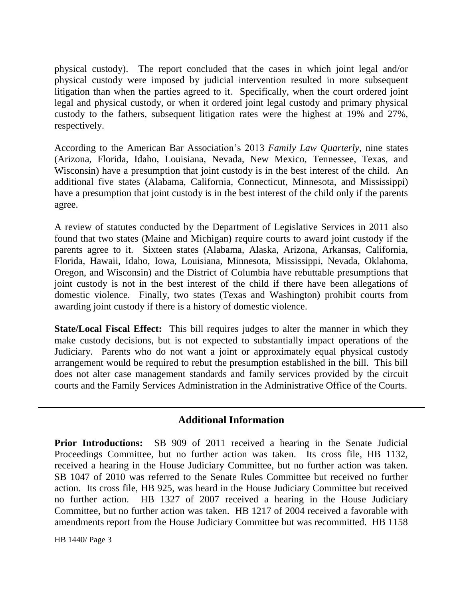physical custody). The report concluded that the cases in which joint legal and/or physical custody were imposed by judicial intervention resulted in more subsequent litigation than when the parties agreed to it. Specifically, when the court ordered joint legal and physical custody, or when it ordered joint legal custody and primary physical custody to the fathers, subsequent litigation rates were the highest at 19% and 27%, respectively.

According to the American Bar Association's 2013 *Family Law Quarterly*, nine states (Arizona, Florida, Idaho, Louisiana, Nevada, New Mexico, Tennessee, Texas, and Wisconsin) have a presumption that joint custody is in the best interest of the child. An additional five states (Alabama, California, Connecticut, Minnesota, and Mississippi) have a presumption that joint custody is in the best interest of the child only if the parents agree.

A review of statutes conducted by the Department of Legislative Services in 2011 also found that two states (Maine and Michigan) require courts to award joint custody if the parents agree to it. Sixteen states (Alabama, Alaska, Arizona, Arkansas, California, Florida, Hawaii, Idaho, Iowa, Louisiana, Minnesota, Mississippi, Nevada, Oklahoma, Oregon, and Wisconsin) and the District of Columbia have rebuttable presumptions that joint custody is not in the best interest of the child if there have been allegations of domestic violence. Finally, two states (Texas and Washington) prohibit courts from awarding joint custody if there is a history of domestic violence.

**State/Local Fiscal Effect:** This bill requires judges to alter the manner in which they make custody decisions, but is not expected to substantially impact operations of the Judiciary. Parents who do not want a joint or approximately equal physical custody arrangement would be required to rebut the presumption established in the bill. This bill does not alter case management standards and family services provided by the circuit courts and the Family Services Administration in the Administrative Office of the Courts.

## **Additional Information**

**Prior Introductions:** SB 909 of 2011 received a hearing in the Senate Judicial Proceedings Committee, but no further action was taken. Its cross file, HB 1132, received a hearing in the House Judiciary Committee, but no further action was taken. SB 1047 of 2010 was referred to the Senate Rules Committee but received no further action. Its cross file, HB 925, was heard in the House Judiciary Committee but received no further action. HB 1327 of 2007 received a hearing in the House Judiciary Committee, but no further action was taken. HB 1217 of 2004 received a favorable with amendments report from the House Judiciary Committee but was recommitted. HB 1158

HB 1440/ Page 3